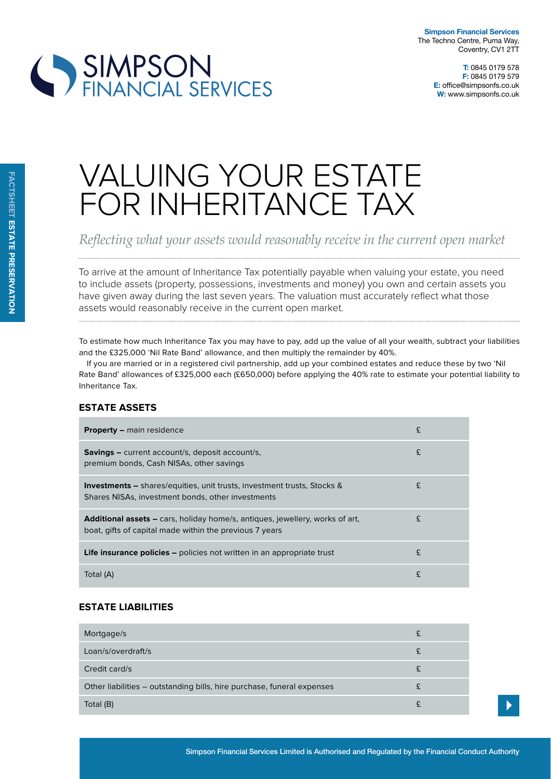

# VALUING YOUR ESTATE FOR INHERITANCE TAX

*Feflecting what your assets would reasonably receive in the current open market* 

To arrive at the amount of Inheritance Tax potentially payable when valuing your estate, you need to include assets (property, possessions, investments and money) you own and certain assets you have given away during the last seven years. The valuation must accurately reflect what those assets would reasonably receive in the current open market.

To estimate how much Inheritance Tax you may have to pay, add up the value of all your wealth, subtract your liabilities and the £325,000 'Nil Rate Band' allowance, and then multiply the remainder by 40%.

If you are married or in a registered civil partnership, add up your combined estates and reduce these by two 'Nil Rate Band' allowances of £325,000 each (£650,000) before applying the 40% rate to estimate your potential liability to Inheritance Tax.

## **estate assets**

| <b>Property –</b> main residence                                                                                                               | £ |
|------------------------------------------------------------------------------------------------------------------------------------------------|---|
| <b>Savings –</b> current account/s, deposit account/s,<br>premium bonds, Cash NISAs, other savings                                             | £ |
| <b>Investments –</b> shares/equities, unit trusts, investment trusts, Stocks &<br>Shares NISAs, investment bonds, other investments            | £ |
| <b>Additional assets –</b> cars, holiday home/s, antiques, jewellery, works of art,<br>boat, gifts of capital made within the previous 7 years | £ |
| <b>Life insurance policies</b> – policies not written in an appropriate trust                                                                  | £ |
| Total (A)                                                                                                                                      | £ |

## **estate liaBilities**

| Mortgage/s                                                             |  |
|------------------------------------------------------------------------|--|
| Loan/s/overdraft/s                                                     |  |
| Credit card/s                                                          |  |
| Other liabilities – outstanding bills, hire purchase, funeral expenses |  |
| Total (B)                                                              |  |